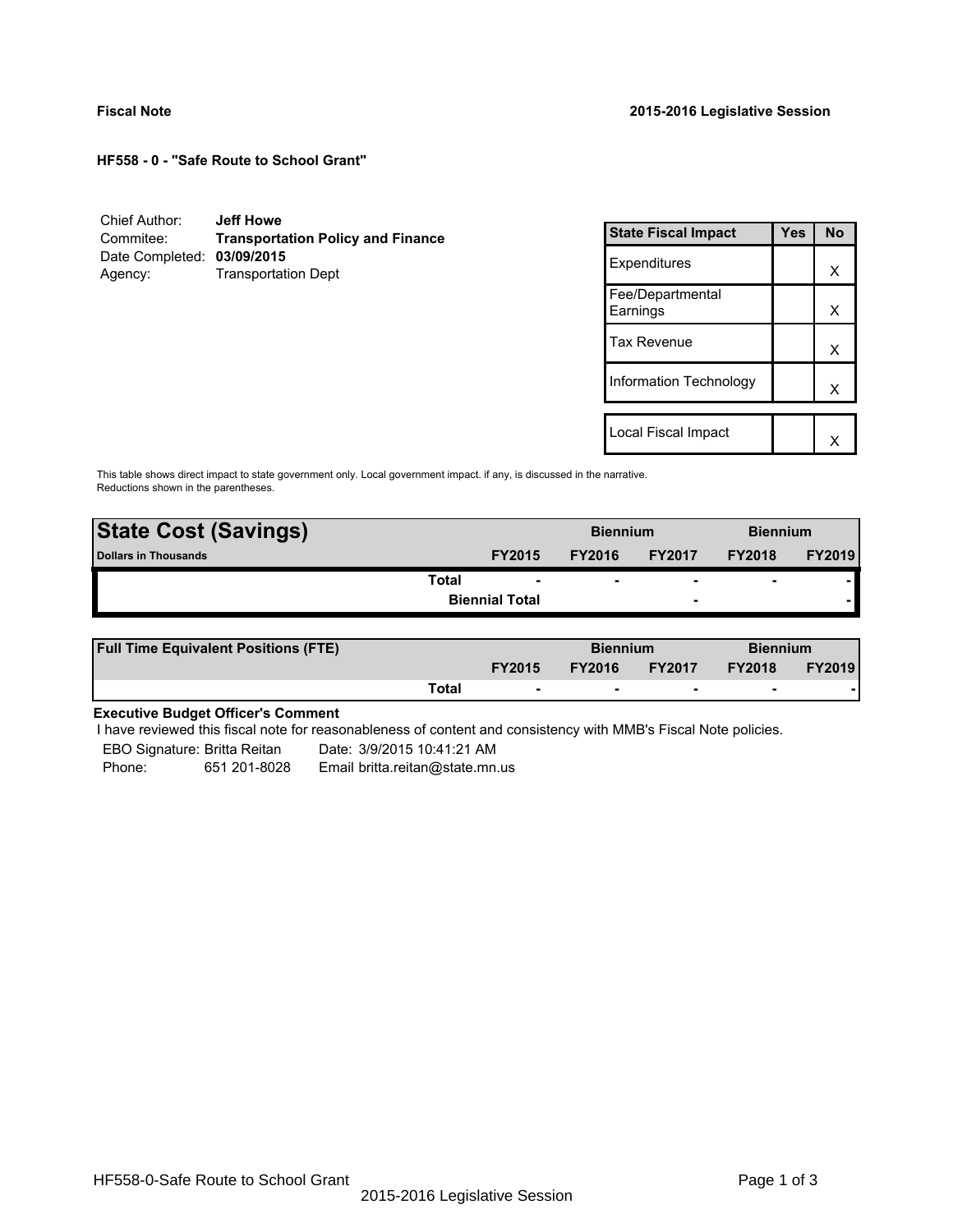**HF558 - 0 - "Safe Route to School Grant"**

| Chief Author:              | <b>Jeff Howe</b>                         |
|----------------------------|------------------------------------------|
| Commitee:                  | <b>Transportation Policy and Finance</b> |
| Date Completed: 03/09/2015 |                                          |
| Agency:                    | <b>Transportation Dept</b>               |

| <b>State Fiscal Impact</b>   | Yes | No |
|------------------------------|-----|----|
| Expenditures                 |     | x  |
| Fee/Departmental<br>Earnings |     | x  |
| <b>Tax Revenue</b>           |     | x  |
| Information Technology       |     | x  |
|                              |     |    |
| Local Fiscal Impact          |     |    |

This table shows direct impact to state government only. Local government impact. if any, is discussed in the narrative. Reductions shown in the parentheses.

| <b>State Cost (Savings)</b> |                       | <b>Biennium</b> |                          | <b>Biennium</b>          |               |
|-----------------------------|-----------------------|-----------------|--------------------------|--------------------------|---------------|
| <b>Dollars in Thousands</b> | <b>FY2015</b>         | <b>FY2016</b>   | <b>FY2017</b>            | <b>FY2018</b>            | <b>FY2019</b> |
| Total                       | ۰                     | ۰               | $\overline{\phantom{0}}$ | $\overline{\phantom{0}}$ |               |
|                             | <b>Biennial Total</b> |                 | $\overline{\phantom{a}}$ |                          |               |
|                             |                       |                 |                          |                          |               |

| <b>Full Time Equivalent Positions (FTE)</b> |       |                          | <b>Biennium</b> |                          | <b>Biennium</b> |               |
|---------------------------------------------|-------|--------------------------|-----------------|--------------------------|-----------------|---------------|
|                                             |       | <b>FY2015</b>            | <b>FY2016</b>   | <b>FY2017</b>            | <b>FY2018</b>   | <b>FY2019</b> |
|                                             | Total | $\overline{\phantom{a}}$ | $\sim$          | $\overline{\phantom{a}}$ | $\sim$          |               |

# **Executive Budget Officer's Comment**

I have reviewed this fiscal note for reasonableness of content and consistency with MMB's Fiscal Note policies.

EBO Signature: Britta Reitan ---- Date: 3/9/2015 10:41:21 AM Phone: 651 201-8028 Email britta.reitan@state.mn.us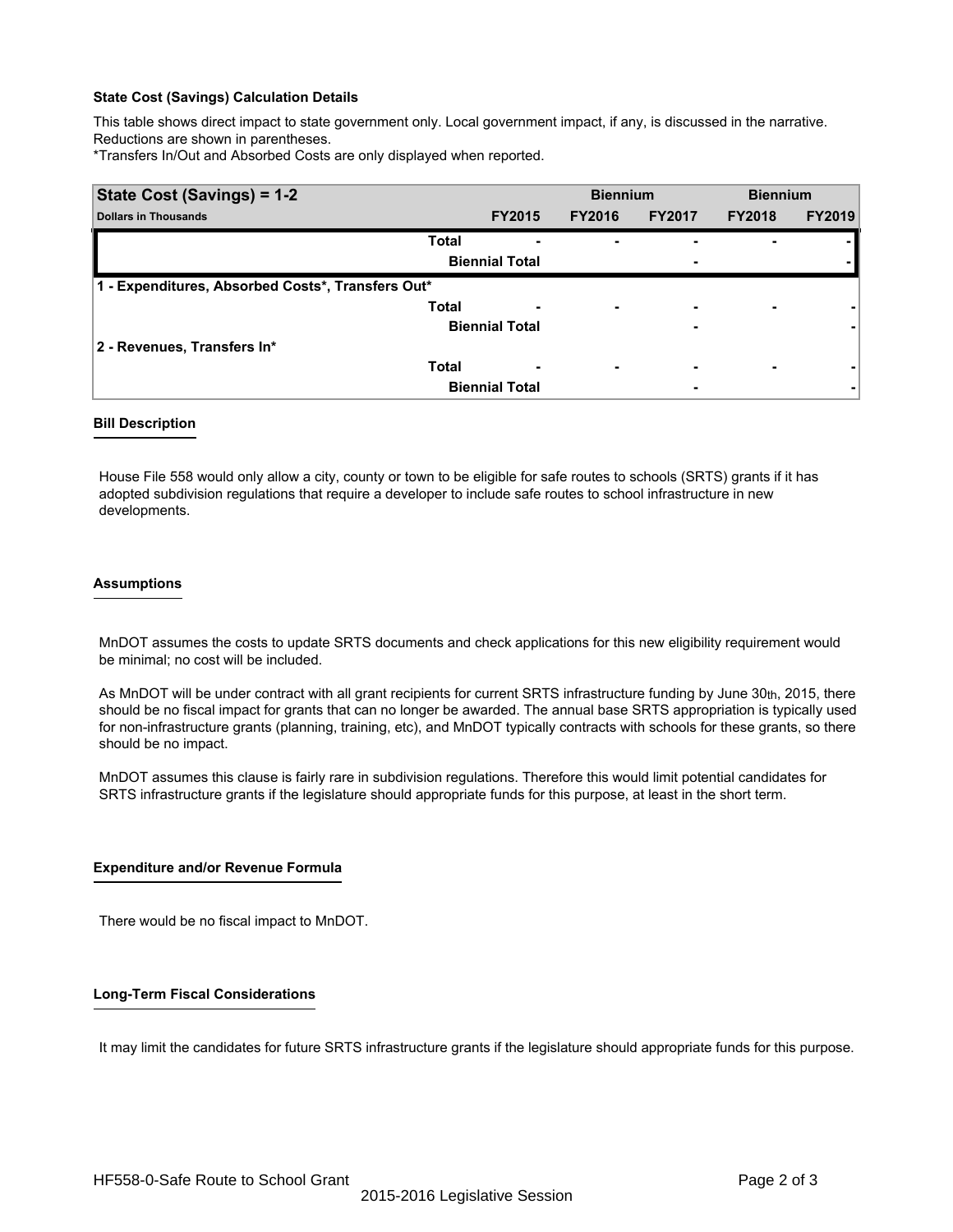# **State Cost (Savings) Calculation Details**

This table shows direct impact to state government only. Local government impact, if any, is discussed in the narrative. Reductions are shown in parentheses.

\*Transfers In/Out and Absorbed Costs are only displayed when reported.

| State Cost (Savings) = 1-2                        |                       |               | <b>Biennium</b>          |               | <b>Biennium</b> |               |
|---------------------------------------------------|-----------------------|---------------|--------------------------|---------------|-----------------|---------------|
| <b>Dollars in Thousands</b>                       |                       | <b>FY2015</b> | <b>FY2016</b>            | <b>FY2017</b> | <b>FY2018</b>   | <b>FY2019</b> |
|                                                   | <b>Total</b>          |               | ۰                        |               |                 |               |
|                                                   | <b>Biennial Total</b> |               |                          | ٠             |                 |               |
| 1 - Expenditures, Absorbed Costs*, Transfers Out* |                       |               |                          |               |                 |               |
|                                                   | <b>Total</b>          |               | $\overline{\phantom{0}}$ | -             |                 |               |
|                                                   | <b>Biennial Total</b> |               |                          | -             |                 |               |
| 2 - Revenues, Transfers In*                       |                       |               |                          |               |                 |               |
|                                                   | <b>Total</b>          | -             | $\overline{\phantom{0}}$ | -             |                 |               |
|                                                   | <b>Biennial Total</b> |               |                          | ٠             |                 |               |

# **Bill Description**

House File 558 would only allow a city, county or town to be eligible for safe routes to schools (SRTS) grants if it has adopted subdivision regulations that require a developer to include safe routes to school infrastructure in new developments.

### **Assumptions**

 MnDOT assumes the costs to update SRTS documents and check applications for this new eligibility requirement would be minimal; no cost will be included.

As MnDOT will be under contract with all grant recipients for current SRTS infrastructure funding by June  $30<sub>th</sub>$ , 2015, there should be no fiscal impact for grants that can no longer be awarded. The annual base SRTS appropriation is typically used for non-infrastructure grants (planning, training, etc), and MnDOT typically contracts with schools for these grants, so there should be no impact.

MnDOT assumes this clause is fairly rare in subdivision regulations. Therefore this would limit potential candidates for SRTS infrastructure grants if the legislature should appropriate funds for this purpose, at least in the short term.

# **Expenditure and/or Revenue Formula**

There would be no fiscal impact to MnDOT.

# **Long-Term Fiscal Considerations**

It may limit the candidates for future SRTS infrastructure grants if the legislature should appropriate funds for this purpose.